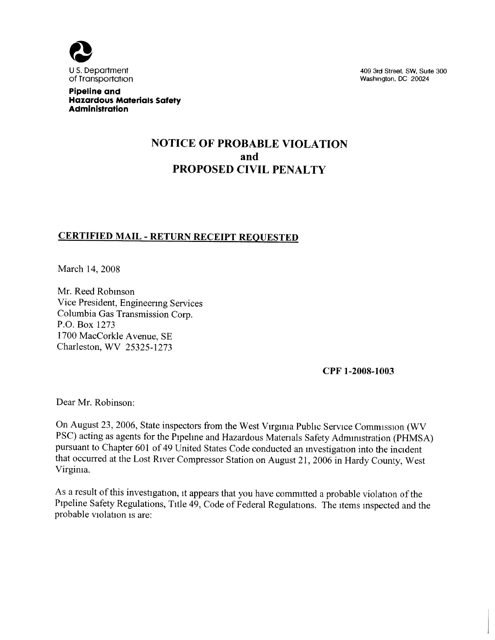

409 3rd Street, SW, Suite 300 Washington, DC 20024

Pipeline and Hazardous Materials Safety Administration

# NOTICE OF PROBABLE VIOLATION and PROPOSED CIVIL PENALTY

## CERTIFIED MAIL - RETURN RECEIPT REQUESTED

March 14, 2008

Mr. Reed Robmson Vice President, Engineering Services Columbia Gas Transmission Corp. P.O. Box 1273 1700 MacCorkle Avenue, SE Charleston, WV 25325-1273

CPF 1-200S-1003

Dear Mr. Robinson:

On August 23, 2006, State inspectors from the West Virginia Public Service Commission (WV PSC) acting as agents for the Pipehne and Hazardous Materials Safety Administration (PHMSA) pursuant to Chapter 601 of 49 United States Code conducted an mvestigation into the incident that occurred at the Lost River Compressor Station on August 21, 2006 in Hardy County, West Virginia.

As a result of this investigation, it appears that you have committed a probable violation of the Pipeline Safety Regulations, Title 49, Code of Federal Regulations. The items mspected and the probable violation is are: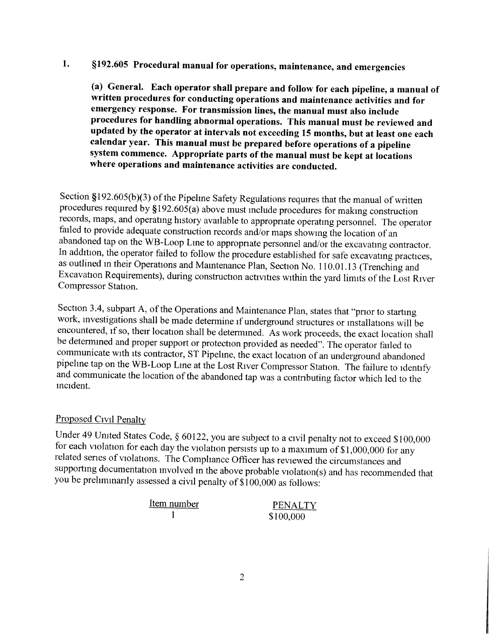#### \$192. 605 Procedural manual for operations, maintenance, and emergencies 1.

(a) General. Each operator shall prepare and follow for each pipeline, a manual of written procedures for conducting operations and maintenance activities and for emergency response. For transmission lines, the manual must also include procedures for handling abnormal operations. This manual must be reviewed and updated by the operator at intervals not exceeding 15 months, but at least one each calendar year. This manual must be prepared before operations of a pipeline system commence. Appropriate parts of the manual must be kept at locations where operations and maintenance activities are conducted.

Section \$192. 605(b)(3) of the Pipeline Safety Regulations requires that the manual of written procedures required by  $$192.605(a)$  above must include procedures for making construction records, maps, and operatmg history available to appropriate operating personnel. The operator failed to provide adequate construction records and/or maps showmg the location of an abandoned tap on the WB-Loop Lme to appropriate personnel and/or the excavatmg contractor. In addition, the operator failed to follow the procedure established for safe excavatmg practices, as outlined in their Operations and Maintenance Plan, Section No. 110.01.13 (Trenching and Excavation Requirements), during construction activities within the yard limits of the Lost River Compressor Station.

Section 3.4, subpart A, of the Operations and Maintenance Plan, states that "prior to starting work, mvestigations shall be made determine if underground structures or mstallations will be encountered, if so, their location shall be determined. As work proceeds, the exact location shall be determined and proper support or protection provided as needed". The operator failed to communicate with its contractor, ST Pipehne, the exact location of an underground abandoned pipehne tap on the WB-Loop Lme at the Lost River Compressor Station. The failure to identify and communicate the location of the abandoned tap was a contributing factor which led to the mcident.

### Proposed Civil Penalty

Under 49 United States Code, § 60122, you are subject to a civil penalty not to exceed \$100,000 for each violation for each day the violation persists up to a maximum of \$1, 000, 000 for any related series of violations. The Compliance Officer has reviewed the circumstances and supporting documentation mvolved in the above probable violation(s) and has recommended that you be prehmmarily assessed a civil penalty of \$100, 000 as follows:

| Item number | <b>PENALTY</b> |
|-------------|----------------|
|             | \$100,000      |